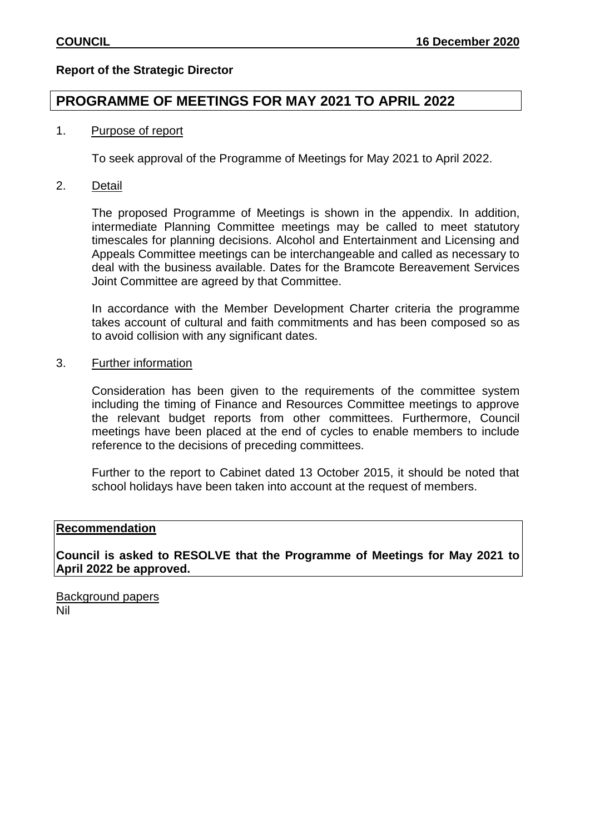#### **Report of the Strategic Director**

### **PROGRAMME OF MEETINGS FOR MAY 2021 TO APRIL 2022**

#### 1. Purpose of report

To seek approval of the Programme of Meetings for May 2021 to April 2022.

#### 2. Detail

The proposed Programme of Meetings is shown in the appendix. In addition, intermediate Planning Committee meetings may be called to meet statutory timescales for planning decisions. Alcohol and Entertainment and Licensing and Appeals Committee meetings can be interchangeable and called as necessary to deal with the business available. Dates for the Bramcote Bereavement Services Joint Committee are agreed by that Committee.

In accordance with the Member Development Charter criteria the programme takes account of cultural and faith commitments and has been composed so as to avoid collision with any significant dates.

#### 3. Further information

Consideration has been given to the requirements of the committee system including the timing of Finance and Resources Committee meetings to approve the relevant budget reports from other committees. Furthermore, Council meetings have been placed at the end of cycles to enable members to include reference to the decisions of preceding committees.

Further to the report to Cabinet dated 13 October 2015, it should be noted that school holidays have been taken into account at the request of members.

#### **Recommendation**

**Council is asked to RESOLVE that the Programme of Meetings for May 2021 to April 2022 be approved.** 

Background papers Nil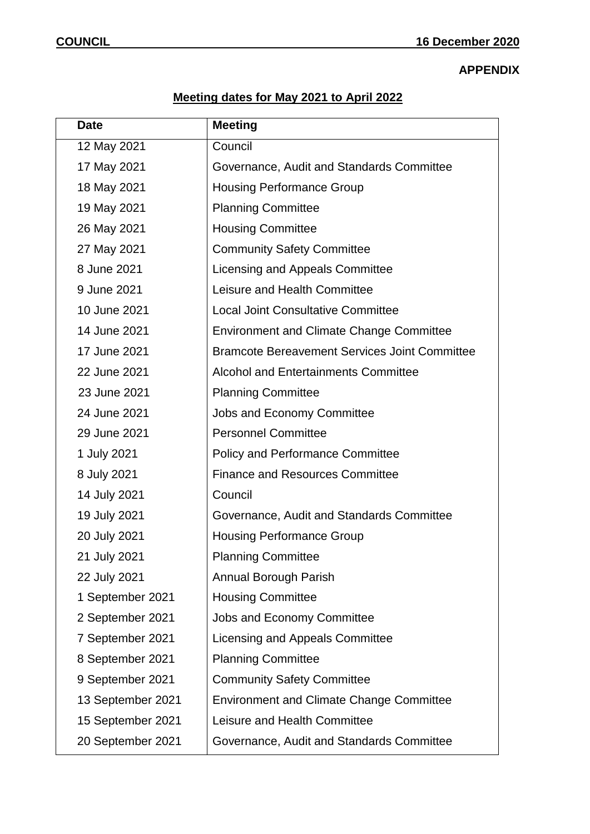## **APPENDIX**

# **Meeting dates for May 2021 to April 2022**

| <b>Date</b>       | <b>Meeting</b>                                       |
|-------------------|------------------------------------------------------|
| 12 May 2021       | Council                                              |
| 17 May 2021       | Governance, Audit and Standards Committee            |
| 18 May 2021       | <b>Housing Performance Group</b>                     |
| 19 May 2021       | <b>Planning Committee</b>                            |
| 26 May 2021       | <b>Housing Committee</b>                             |
| 27 May 2021       | <b>Community Safety Committee</b>                    |
| 8 June 2021       | Licensing and Appeals Committee                      |
| 9 June 2021       | Leisure and Health Committee                         |
| 10 June 2021      | <b>Local Joint Consultative Committee</b>            |
| 14 June 2021      | <b>Environment and Climate Change Committee</b>      |
| 17 June 2021      | <b>Bramcote Bereavement Services Joint Committee</b> |
| 22 June 2021      | <b>Alcohol and Entertainments Committee</b>          |
| 23 June 2021      | <b>Planning Committee</b>                            |
| 24 June 2021      | Jobs and Economy Committee                           |
| 29 June 2021      | <b>Personnel Committee</b>                           |
| 1 July 2021       | <b>Policy and Performance Committee</b>              |
| 8 July 2021       | <b>Finance and Resources Committee</b>               |
| 14 July 2021      | Council                                              |
| 19 July 2021      | Governance, Audit and Standards Committee            |
| 20 July 2021      | <b>Housing Performance Group</b>                     |
| 21 July 2021      | <b>Planning Committee</b>                            |
| 22 July 2021      | Annual Borough Parish                                |
| 1 September 2021  | <b>Housing Committee</b>                             |
| 2 September 2021  | Jobs and Economy Committee                           |
| 7 September 2021  | Licensing and Appeals Committee                      |
| 8 September 2021  | <b>Planning Committee</b>                            |
| 9 September 2021  | <b>Community Safety Committee</b>                    |
| 13 September 2021 | <b>Environment and Climate Change Committee</b>      |
| 15 September 2021 | Leisure and Health Committee                         |
| 20 September 2021 | Governance, Audit and Standards Committee            |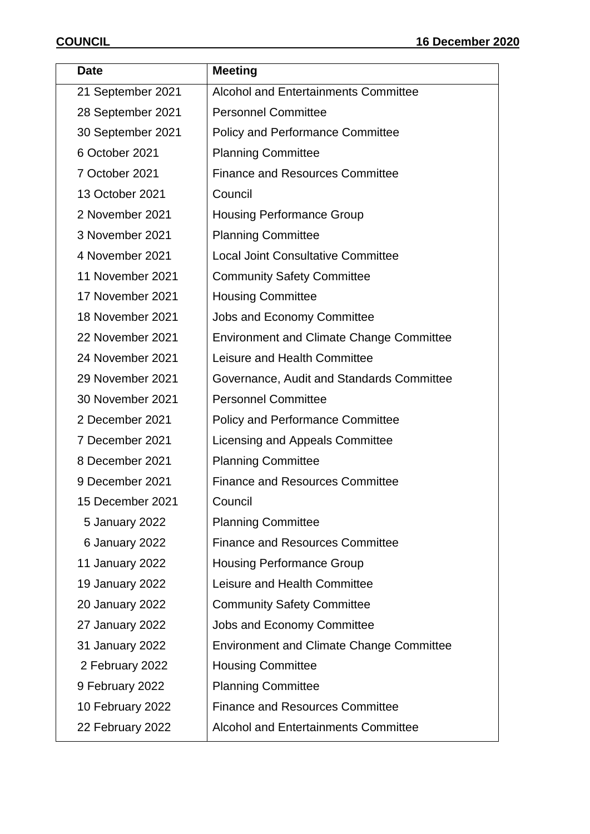| <b>Date</b>            | <b>Meeting</b>                                  |
|------------------------|-------------------------------------------------|
| 21 September 2021      | <b>Alcohol and Entertainments Committee</b>     |
| 28 September 2021      | <b>Personnel Committee</b>                      |
| 30 September 2021      | <b>Policy and Performance Committee</b>         |
| 6 October 2021         | <b>Planning Committee</b>                       |
| 7 October 2021         | <b>Finance and Resources Committee</b>          |
| 13 October 2021        | Council                                         |
| 2 November 2021        | <b>Housing Performance Group</b>                |
| 3 November 2021        | <b>Planning Committee</b>                       |
| 4 November 2021        | <b>Local Joint Consultative Committee</b>       |
| 11 November 2021       | <b>Community Safety Committee</b>               |
| 17 November 2021       | <b>Housing Committee</b>                        |
| 18 November 2021       | <b>Jobs and Economy Committee</b>               |
| 22 November 2021       | <b>Environment and Climate Change Committee</b> |
| 24 November 2021       | Leisure and Health Committee                    |
| 29 November 2021       | Governance, Audit and Standards Committee       |
| 30 November 2021       | <b>Personnel Committee</b>                      |
| 2 December 2021        | <b>Policy and Performance Committee</b>         |
| 7 December 2021        | Licensing and Appeals Committee                 |
| 8 December 2021        | <b>Planning Committee</b>                       |
| 9 December 2021        | <b>Finance and Resources Committee</b>          |
| 15 December 2021       | Council                                         |
| 5 January 2022         | <b>Planning Committee</b>                       |
| 6 January 2022         | <b>Finance and Resources Committee</b>          |
| 11 January 2022        | <b>Housing Performance Group</b>                |
| 19 January 2022        | Leisure and Health Committee                    |
| <b>20 January 2022</b> | <b>Community Safety Committee</b>               |
| 27 January 2022        | <b>Jobs and Economy Committee</b>               |
| 31 January 2022        | <b>Environment and Climate Change Committee</b> |
| 2 February 2022        | <b>Housing Committee</b>                        |
| 9 February 2022        | <b>Planning Committee</b>                       |
| 10 February 2022       | <b>Finance and Resources Committee</b>          |
| 22 February 2022       | <b>Alcohol and Entertainments Committee</b>     |